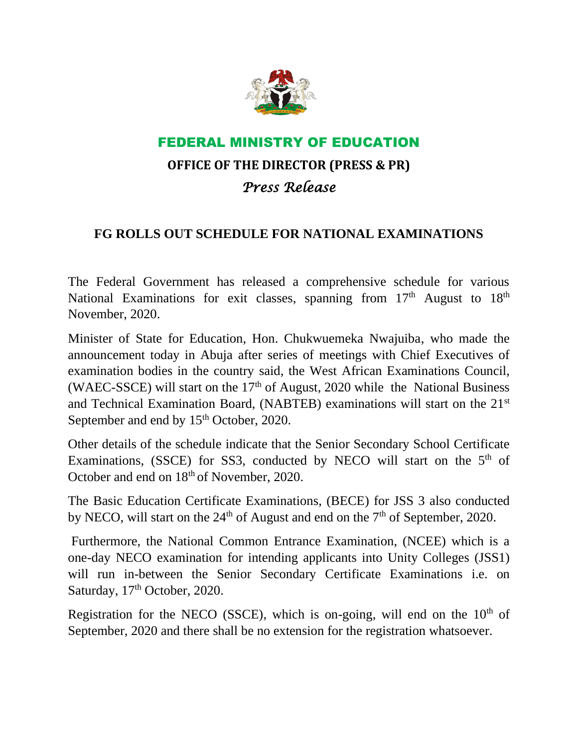

## FEDERAL MINISTRY OF EDUCATION

## **OFFICE OF THE DIRECTOR (PRESS & PR)** *Press Release*

## **FG ROLLS OUT SCHEDULE FOR NATIONAL EXAMINATIONS**

The Federal Government has released a comprehensive schedule for various National Examinations for exit classes, spanning from  $17<sup>th</sup>$  August to  $18<sup>th</sup>$ November, 2020.

Minister of State for Education, Hon. Chukwuemeka Nwajuiba, who made the announcement today in Abuja after series of meetings with Chief Executives of examination bodies in the country said, the West African Examinations Council, (WAEC-SSCE) will start on the  $17<sup>th</sup>$  of August, 2020 while the National Business and Technical Examination Board, (NABTEB) examinations will start on the 21st September and end by  $15<sup>th</sup>$  October, 2020.

Other details of the schedule indicate that the Senior Secondary School Certificate Examinations, (SSCE) for SS3, conducted by NECO will start on the 5<sup>th</sup> of October and end on  $18<sup>th</sup>$  of November, 2020.

The Basic Education Certificate Examinations, (BECE) for JSS 3 also conducted by NECO, will start on the  $24<sup>th</sup>$  of August and end on the  $7<sup>th</sup>$  of September, 2020.

Furthermore, the National Common Entrance Examination, (NCEE) which is a one-day NECO examination for intending applicants into Unity Colleges (JSS1) will run in-between the Senior Secondary Certificate Examinations i.e. on Saturday, 17<sup>th</sup> October, 2020.

Registration for the NECO (SSCE), which is on-going, will end on the  $10<sup>th</sup>$  of September, 2020 and there shall be no extension for the registration whatsoever.